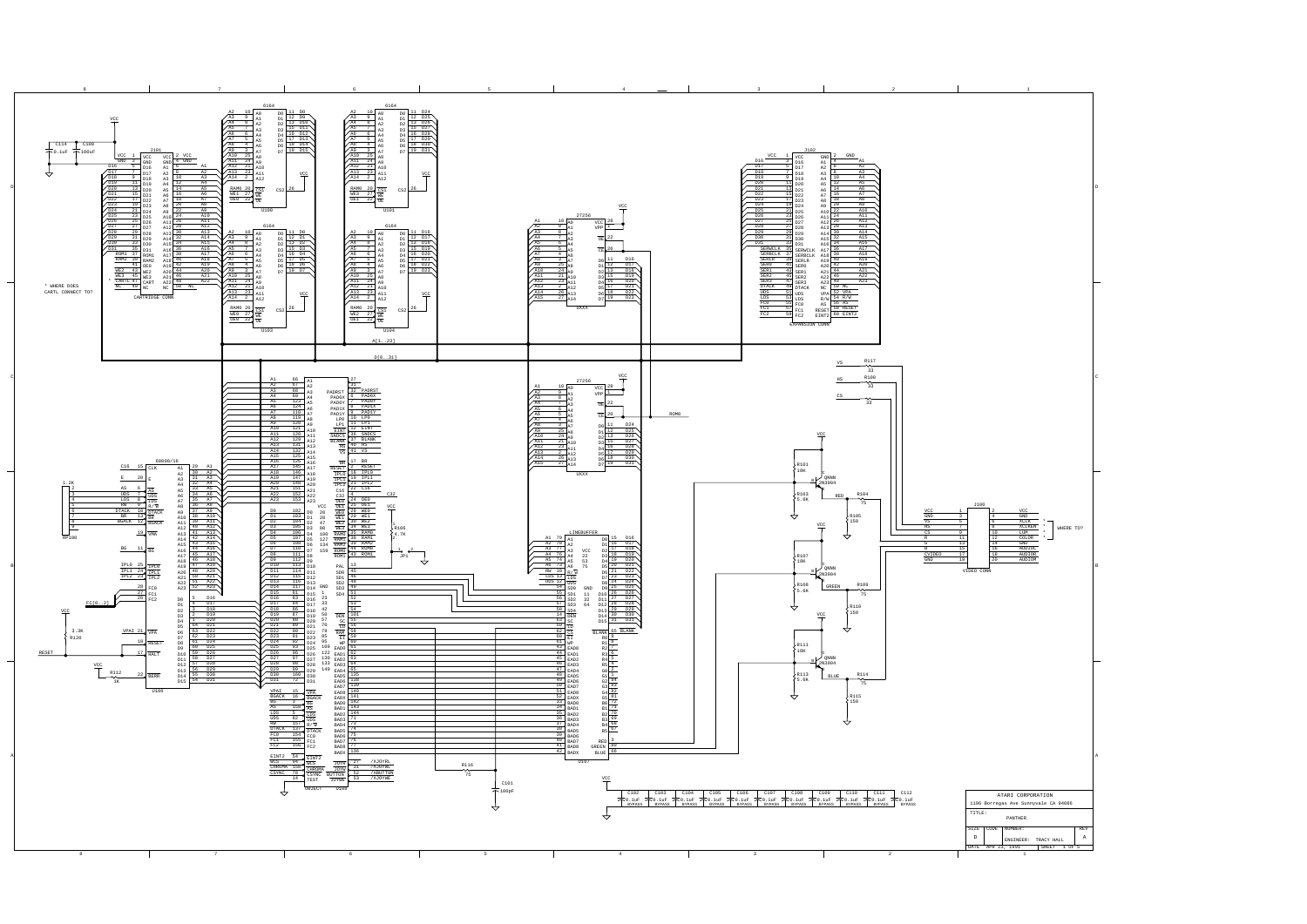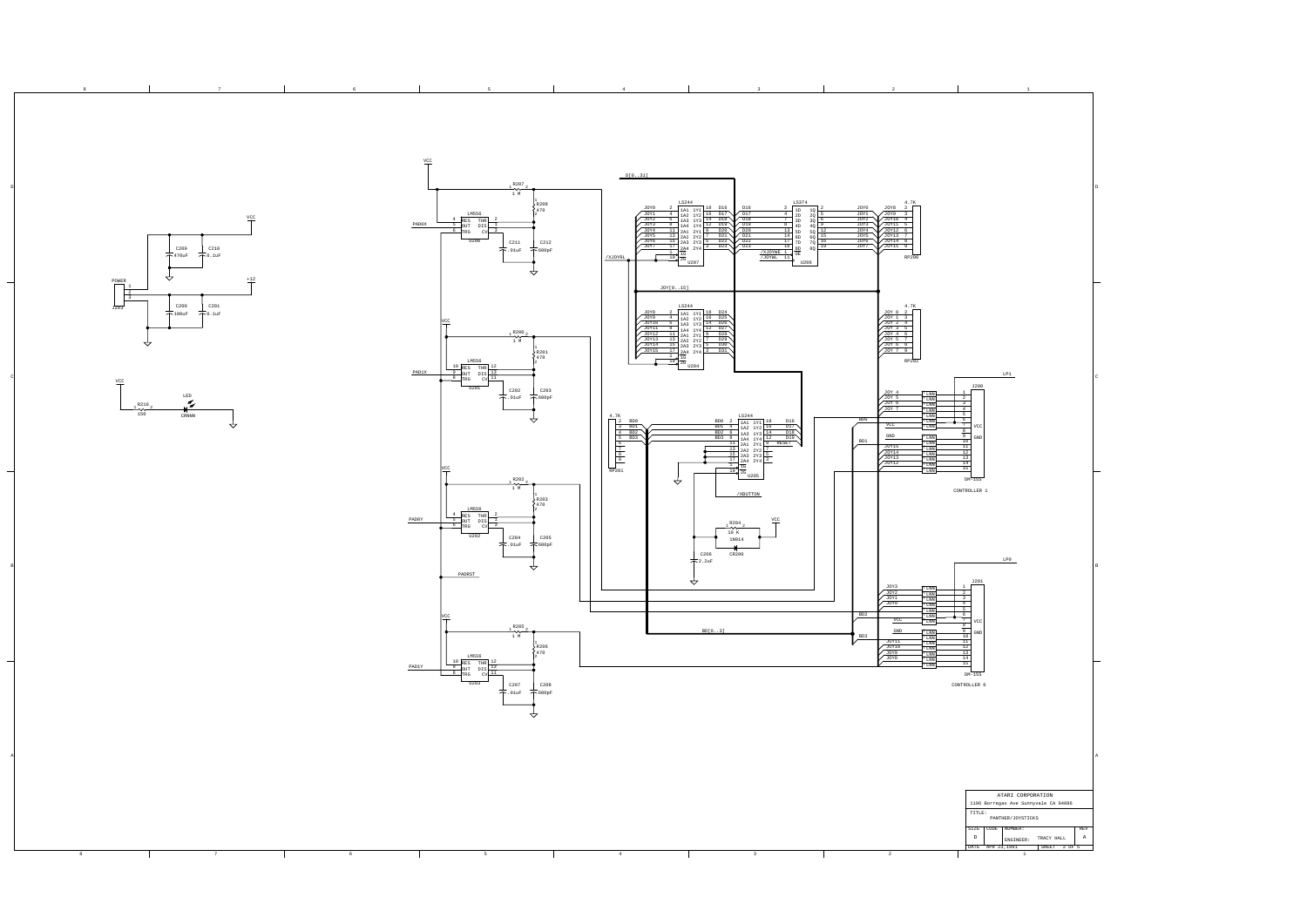| $\rightsquigarrow$<br>$rac{VCC}{T}$<br>, R210<br>$\frac{1}{150}$ | $-000$<br>$- - -$<br>LED<br>$\tilde{\mathscr{F}}$<br>$\mathop{\rm CRNNN}\nolimits$<br>ई |   | vcc<br>R200,<br>$\begin{array}{c}\n\frac{1}{2} & \frac{1}{2} \\ \frac{1}{2} & \frac{1}{2}\n\end{array}$<br>LM556<br>$\begin{tabular}{c c c} \multicolumn{1}{ c }{10} & \multicolumn{1}{ c }{\multicolumn{1}{ c }{\multicolumn{1}{c }{\multicolumn{1}{c }{\multicolumn{1}{c }{\multicolumn{1}{c }{\multicolumn{1}{c }{\multicolumn{1}{c }{\multicolumn{1}{c }{\multicolumn{1}{c }{\multicolumn{1}{c }{\multicolumn{1}{c }{\multicolumn{1}{c }{\multicolumn{1}{c }{\multicolumn{1}{c }{\multicolumn{1}{c }{\multicolumn{1}{c }{\multicolumn{1}{c }{\multicolumn{1}{c }{\$<br>PAD1X<br>U201<br>C202<br>不. $01$ $uF$<br><u>/CC</u><br>R202<br>يمد<br>1 M<br>LM556<br>$\begin{array}{c cc}\n4 & \text{RES} & \text{THR} \\ \hline\n5 & \text{OUT} & \text{DIS} \\ \hline\n6 & \text{TRG} & \text{CV}\n\end{array}$<br>PADOY<br>U202<br>C204<br>$\uparrow$ .01uF<br>PADRST<br>vcc<br>, R205,<br>∼<br>1 M<br>LM556<br>$\begin{array}{c cc}\n10 & \text{RES} & \text{THR} \\ \hline\n9 & \text{OUT} & \text{DIS} \\ \hline\n8 & \text{TRG} & \text{CV}\n\end{array}$<br>$\ensuremath{\mathrm{PADIY}}$<br>U203<br>C207<br>$\div$ .01uF | R201<br>3470<br>C203<br>$\bar{\tau}$ 600pF<br>4.7K<br>$\overline{\mathbf{r}}$<br>$\begin{array}{r} \begin{array}{r} \hline \text{3} \\ \hline 6 \\ \hline 7 \\ \hline 8 \\ \hline 9 \\ \hline \end{array} \\ \hline \text{RP201} \end{array}$<br>R203<br>470<br>C205<br>$\frac{1}{\sqrt{1}}$ 600pF<br>$\overline{\phantom{a}}$<br>R206<br>2470<br>C208<br>$\div$ 600pF<br>↚ | U204<br>$\begin{array}{ c c } \hline \text{2} & \text{BD0} \\ \hline \text{3} & \text{BD1} \\ \hline \text{4} & \text{BD2} \\ \hline \text{5} & \text{BD3} \\ \hline \end{array}$<br>$\downarrow$<br>, R204<br>$\frac{1}{10K}$<br>1N914<br>C206<br>CR200<br>$\pm$ 2.2uF<br>↽<br>BD[03] | $\begin{tabular}{c c c} \multicolumn{1}{c}{LS244} \multicolumn{1}{c}{15244} \multicolumn{1}{c}{15244} \multicolumn{1}{c}{180} \multicolumn{1}{c}{2} \multicolumn{1}{c}{180} \multicolumn{1}{c}{180} \multicolumn{1}{c}{180} \multicolumn{1}{c}{180} \multicolumn{1}{c}{180} \multicolumn{1}{c}{180} \multicolumn{1}{c}{180} \multicolumn{1}{c}{180} \multicolumn{1}{c}{180} \multicolumn{1}{c}{180} \multicolumn{1}{c}{1$<br>U205<br>$/\mbox{XBUTTON}$<br>$rac{VCC}{T}$ | $\begin{array}{ c c } \hline {\rm JOY} & 1 & 3 \\ \hline {\rm JOY} & 2 & 4 \\ \hline {\rm JOY} & 5 & 7 \\ \hline {\rm JOY} & 5 & 7 \\ \hline {\rm JOY} & 6 & 8 \\ \hline {\rm JOY} & 7 & 9 \\ \hline \end{array}$<br>RP202<br>$\begin{array}{r} \sqrt{\frac{30Y-4}{10Y-5}} \\ \hline 0 \\ \sqrt{\frac{30Y-6}{10Y-7}} \\ \end{array}$<br>$^{\mathrm{T}}$ LNN<br>$T_{\rm LNN}$<br>$\frac{T}{T}$ LNN<br>$\frac{T}{T}$ LNN $\frac{T}{T}$<br>BD <sub>0</sub><br>$T_{LND}$<br>$T_{LND}$<br>$\ensuremath{\mathrm{GND}}$<br>$^{\mathrm{T}}$ LNN<br>BD1<br>$\begin{tabular}{c} T & LNN \\ \hline T & LNN \\ \hline T & LNN \\ \end{tabular}$<br>JOY15<br>$\frac{J0Y14}{J0Y13}$<br>$T_{\rm LNN}$<br>$^{\mathrm{T}}$ LNN<br><sup>r</sup> LNN<br>JOY3<br>$\frac{10000}{1000}$<br><sup>T</sup> LNN<br>$\frac{\text{T}}{\text{T}}$ LNN<br>$\frac{\text{T} \text{ LNN}}{\text{T} \text{ LNN}}$<br>BD <sub>2</sub><br>$VCC$<br>$T_{LNN}$<br>$\ensuremath{\underline{\text{GND}}}$<br>$T$ LNN<br>BD3<br>$^{\mathrm{\scriptscriptstyle T}}$ LNN<br>JOY11<br>$T_{\rm LNN}$<br>$\frac{10\times8}{10\times10}$<br>$\frac{\text{T LNN}}{\text{T LNN}}$<br>$\mathrm{^{T}LM}$<br>$^{\Gamma}$ LNN | LP1<br>J200<br>$\overline{2}$<br>4<br>5 <sub>1</sub><br>6 <sup>1</sup><br>8<br>$\sqrt{a}$<br>10<br>$\overline{11}$<br>12<br>$\begin{array}{r}\n\phantom{0}13 \\ \hline\n\phantom{0}14 \\ \hline\n\phantom{0}15\n\end{array}$<br>$DM-15S$<br>CONTROLLER 1<br>LP0<br>J201<br>$\overline{\mathbf{3}}$<br>4<br>5<br>$-6$<br>7<br>9<br>10<br>11<br>$\begin{array}{r}\n\phantom{-}12 \\ \hline\n\phantom{-}13 \\ \hline\n\phantom{-}14\n\end{array}$<br>15<br>$DM-15S$<br>CONTROLLER 0<br>ATARI CORPORATION<br>1196 Borregas Ave Sunnyvale CA 94086<br>$\texttt{TIME}$ :<br>PANTHER/JOYSTICKS<br>SIZE CODE NUMBER:<br>REV |
|------------------------------------------------------------------|-----------------------------------------------------------------------------------------|---|-------------------------------------------------------------------------------------------------------------------------------------------------------------------------------------------------------------------------------------------------------------------------------------------------------------------------------------------------------------------------------------------------------------------------------------------------------------------------------------------------------------------------------------------------------------------------------------------------------------------------------------------------------------------------------------------------------------------------------------------------------------------------------------------------------------------------------------------------------------------------------------------------------------------------------------------------------------------------------------------------------------------------------------------------------------------------------------------------------------------------------|-----------------------------------------------------------------------------------------------------------------------------------------------------------------------------------------------------------------------------------------------------------------------------------------------------------------------------------------------------------------------------|----------------------------------------------------------------------------------------------------------------------------------------------------------------------------------------------------------------------------------------------------------------------------------------|-------------------------------------------------------------------------------------------------------------------------------------------------------------------------------------------------------------------------------------------------------------------------------------------------------------------------------------------------------------------------------------------------------------------------------------------------------------------------|--------------------------------------------------------------------------------------------------------------------------------------------------------------------------------------------------------------------------------------------------------------------------------------------------------------------------------------------------------------------------------------------------------------------------------------------------------------------------------------------------------------------------------------------------------------------------------------------------------------------------------------------------------------------------------------------------------------------------------------------------------------------------------------------------------------------------------------------------------------------------------------------------------------------------------------------------------------------------------------------------------------------------------------------------------------------------------------------------------------------------------------------------------------------------|---------------------------------------------------------------------------------------------------------------------------------------------------------------------------------------------------------------------------------------------------------------------------------------------------------------------------------------------------------------------------------------------------------------------------------------------------------------------------------------------------------------------------------------------------------------------------------------------------------------------|
|                                                                  | 7                                                                                       | 6 | $5 -$                                                                                                                                                                                                                                                                                                                                                                                                                                                                                                                                                                                                                                                                                                                                                                                                                                                                                                                                                                                                                                                                                                                         | 4                                                                                                                                                                                                                                                                                                                                                                           |                                                                                                                                                                                                                                                                                        | $\overline{\mathbf{3}}$                                                                                                                                                                                                                                                                                                                                                                                                                                                 | $\overline{\phantom{a}}$                                                                                                                                                                                                                                                                                                                                                                                                                                                                                                                                                                                                                                                                                                                                                                                                                                                                                                                                                                                                                                                                                                                                                 | $\mathbb D$<br>$\,$ A $\,$<br>${\small \texttt{ENGINEER}:} \qquad {\small \texttt{TRACY HALL}}$<br>DATE APR 23,1991<br>SHEET 2 OF 5<br>$\mathbf{1}$                                                                                                                                                                                                                                                                                                                                                                                                                                                                 |
|                                                                  |                                                                                         |   |                                                                                                                                                                                                                                                                                                                                                                                                                                                                                                                                                                                                                                                                                                                                                                                                                                                                                                                                                                                                                                                                                                                               |                                                                                                                                                                                                                                                                                                                                                                             |                                                                                                                                                                                                                                                                                        |                                                                                                                                                                                                                                                                                                                                                                                                                                                                         |                                                                                                                                                                                                                                                                                                                                                                                                                                                                                                                                                                                                                                                                                                                                                                                                                                                                                                                                                                                                                                                                                                                                                                          |                                                                                                                                                                                                                                                                                                                                                                                                                                                                                                                                                                                                                     |

A

B

D

D

B

A

8 7 7 8 6 7 5 7 8 4 7 8 3 7 2 7 1

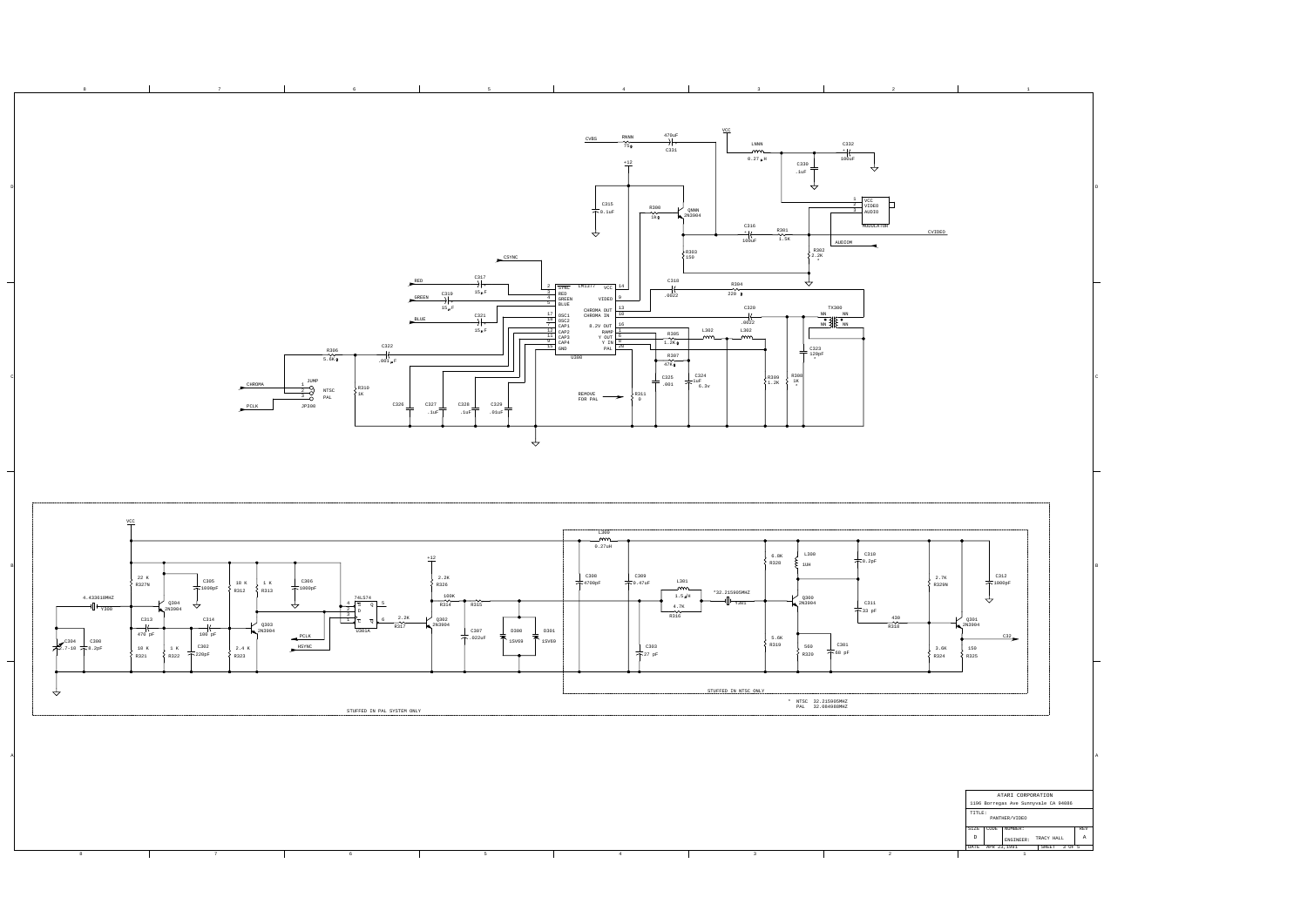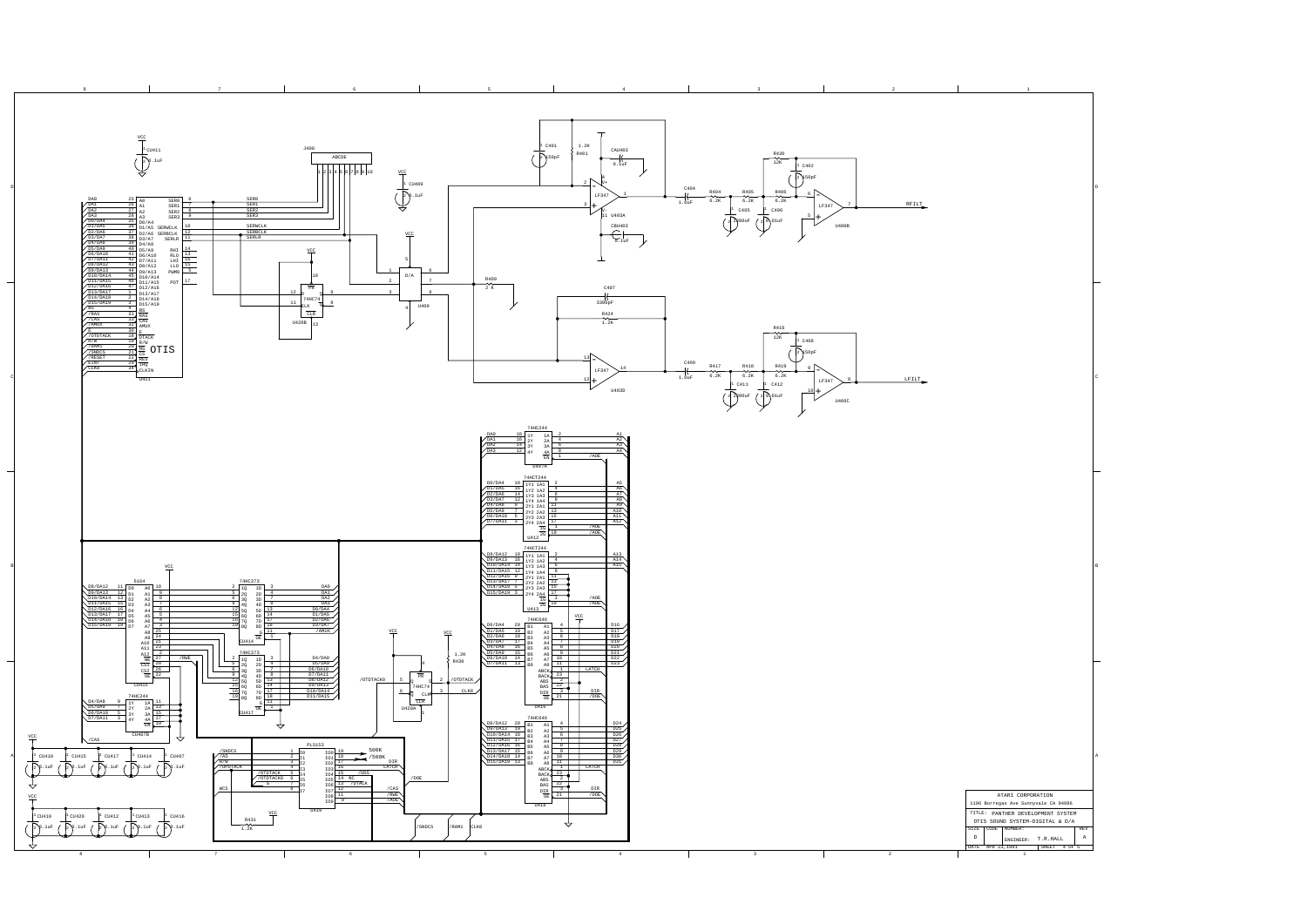

A

B

D